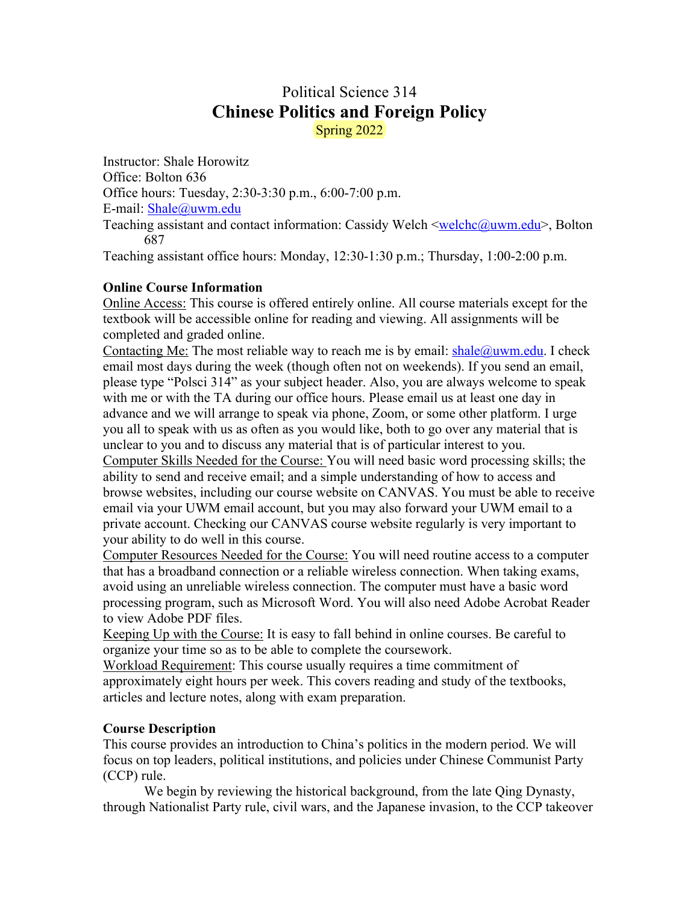# Political Science 314 **Chinese Politics and Foreign Policy** Spring 2022

Instructor: Shale Horowitz Office: Bolton 636 Office hours: Tuesday, 2:30-3:30 p.m., 6:00-7:00 p.m. E-mail: Shale@uwm.edu Teaching assistant and contact information: Cassidy Welch <welchc@uwm.edu>, Bolton 687 Teaching assistant office hours: Monday, 12:30-1:30 p.m.; Thursday, 1:00-2:00 p.m.

### **Online Course Information**

Online Access: This course is offered entirely online. All course materials except for the textbook will be accessible online for reading and viewing. All assignments will be completed and graded online.

Contacting Me: The most reliable way to reach me is by email:  $\frac{\text{shape}(a)$ uwm.edu. I check email most days during the week (though often not on weekends). If you send an email, please type "Polsci 314" as your subject header. Also, you are always welcome to speak with me or with the TA during our office hours. Please email us at least one day in advance and we will arrange to speak via phone, Zoom, or some other platform. I urge you all to speak with us as often as you would like, both to go over any material that is unclear to you and to discuss any material that is of particular interest to you.

Computer Skills Needed for the Course: You will need basic word processing skills; the ability to send and receive email; and a simple understanding of how to access and browse websites, including our course website on CANVAS. You must be able to receive email via your UWM email account, but you may also forward your UWM email to a private account. Checking our CANVAS course website regularly is very important to your ability to do well in this course.

Computer Resources Needed for the Course: You will need routine access to a computer that has a broadband connection or a reliable wireless connection. When taking exams, avoid using an unreliable wireless connection. The computer must have a basic word processing program, such as Microsoft Word. You will also need Adobe Acrobat Reader to view Adobe PDF files.

Keeping Up with the Course: It is easy to fall behind in online courses. Be careful to organize your time so as to be able to complete the coursework.

Workload Requirement: This course usually requires a time commitment of approximately eight hours per week. This covers reading and study of the textbooks, articles and lecture notes, along with exam preparation.

## **Course Description**

This course provides an introduction to China's politics in the modern period. We will focus on top leaders, political institutions, and policies under Chinese Communist Party (CCP) rule.

We begin by reviewing the historical background, from the late Qing Dynasty, through Nationalist Party rule, civil wars, and the Japanese invasion, to the CCP takeover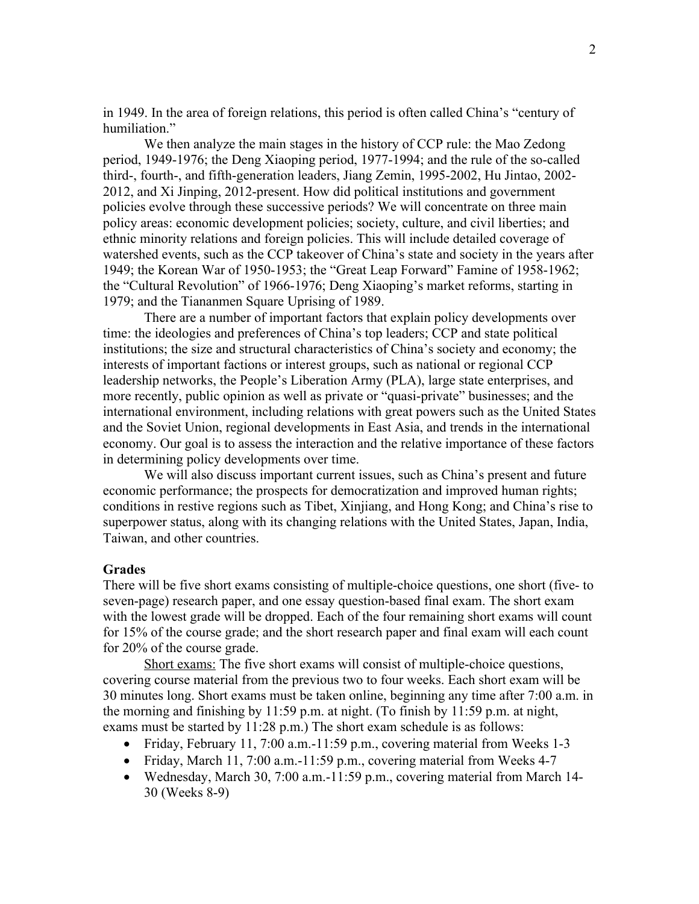in 1949. In the area of foreign relations, this period is often called China's "century of humiliation."

We then analyze the main stages in the history of CCP rule: the Mao Zedong period, 1949-1976; the Deng Xiaoping period, 1977-1994; and the rule of the so-called third-, fourth-, and fifth-generation leaders, Jiang Zemin, 1995-2002, Hu Jintao, 2002- 2012, and Xi Jinping, 2012-present. How did political institutions and government policies evolve through these successive periods? We will concentrate on three main policy areas: economic development policies; society, culture, and civil liberties; and ethnic minority relations and foreign policies. This will include detailed coverage of watershed events, such as the CCP takeover of China's state and society in the years after 1949; the Korean War of 1950-1953; the "Great Leap Forward" Famine of 1958-1962; the "Cultural Revolution" of 1966-1976; Deng Xiaoping's market reforms, starting in 1979; and the Tiananmen Square Uprising of 1989.

There are a number of important factors that explain policy developments over time: the ideologies and preferences of China's top leaders; CCP and state political institutions; the size and structural characteristics of China's society and economy; the interests of important factions or interest groups, such as national or regional CCP leadership networks, the People's Liberation Army (PLA), large state enterprises, and more recently, public opinion as well as private or "quasi-private" businesses; and the international environment, including relations with great powers such as the United States and the Soviet Union, regional developments in East Asia, and trends in the international economy. Our goal is to assess the interaction and the relative importance of these factors in determining policy developments over time.

We will also discuss important current issues, such as China's present and future economic performance; the prospects for democratization and improved human rights; conditions in restive regions such as Tibet, Xinjiang, and Hong Kong; and China's rise to superpower status, along with its changing relations with the United States, Japan, India, Taiwan, and other countries.

#### **Grades**

There will be five short exams consisting of multiple-choice questions, one short (five- to seven-page) research paper, and one essay question-based final exam. The short exam with the lowest grade will be dropped. Each of the four remaining short exams will count for 15% of the course grade; and the short research paper and final exam will each count for 20% of the course grade.

Short exams: The five short exams will consist of multiple-choice questions, covering course material from the previous two to four weeks. Each short exam will be 30 minutes long. Short exams must be taken online, beginning any time after 7:00 a.m. in the morning and finishing by 11:59 p.m. at night. (To finish by 11:59 p.m. at night, exams must be started by 11:28 p.m.) The short exam schedule is as follows:

- Friday, February 11, 7:00 a.m.-11:59 p.m., covering material from Weeks 1-3
- Friday, March 11, 7:00 a.m.-11:59 p.m., covering material from Weeks 4-7
- Wednesday, March 30, 7:00 a.m.-11:59 p.m., covering material from March 14- 30 (Weeks 8-9)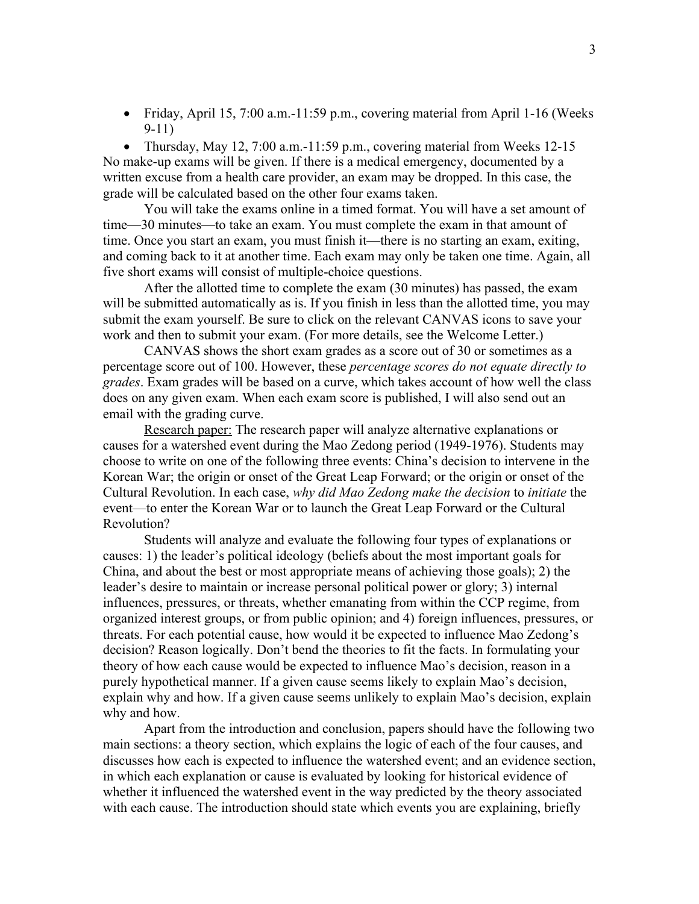• Friday, April 15, 7:00 a.m.-11:59 p.m., covering material from April 1-16 (Weeks 9-11)

• Thursday, May 12, 7:00 a.m.-11:59 p.m., covering material from Weeks 12-15 No make-up exams will be given. If there is a medical emergency, documented by a written excuse from a health care provider, an exam may be dropped. In this case, the grade will be calculated based on the other four exams taken.

You will take the exams online in a timed format. You will have a set amount of time—30 minutes—to take an exam. You must complete the exam in that amount of time. Once you start an exam, you must finish it—there is no starting an exam, exiting, and coming back to it at another time. Each exam may only be taken one time. Again, all five short exams will consist of multiple-choice questions.

After the allotted time to complete the exam (30 minutes) has passed, the exam will be submitted automatically as is. If you finish in less than the allotted time, you may submit the exam yourself. Be sure to click on the relevant CANVAS icons to save your work and then to submit your exam. (For more details, see the Welcome Letter.)

CANVAS shows the short exam grades as a score out of 30 or sometimes as a percentage score out of 100. However, these *percentage scores do not equate directly to grades*. Exam grades will be based on a curve, which takes account of how well the class does on any given exam. When each exam score is published, I will also send out an email with the grading curve.

Research paper: The research paper will analyze alternative explanations or causes for a watershed event during the Mao Zedong period (1949-1976). Students may choose to write on one of the following three events: China's decision to intervene in the Korean War; the origin or onset of the Great Leap Forward; or the origin or onset of the Cultural Revolution. In each case, *why did Mao Zedong make the decision* to *initiate* the event—to enter the Korean War or to launch the Great Leap Forward or the Cultural Revolution?

Students will analyze and evaluate the following four types of explanations or causes: 1) the leader's political ideology (beliefs about the most important goals for China, and about the best or most appropriate means of achieving those goals); 2) the leader's desire to maintain or increase personal political power or glory; 3) internal influences, pressures, or threats, whether emanating from within the CCP regime, from organized interest groups, or from public opinion; and 4) foreign influences, pressures, or threats. For each potential cause, how would it be expected to influence Mao Zedong's decision? Reason logically. Don't bend the theories to fit the facts. In formulating your theory of how each cause would be expected to influence Mao's decision, reason in a purely hypothetical manner. If a given cause seems likely to explain Mao's decision, explain why and how. If a given cause seems unlikely to explain Mao's decision, explain why and how.

Apart from the introduction and conclusion, papers should have the following two main sections: a theory section, which explains the logic of each of the four causes, and discusses how each is expected to influence the watershed event; and an evidence section, in which each explanation or cause is evaluated by looking for historical evidence of whether it influenced the watershed event in the way predicted by the theory associated with each cause. The introduction should state which events you are explaining, briefly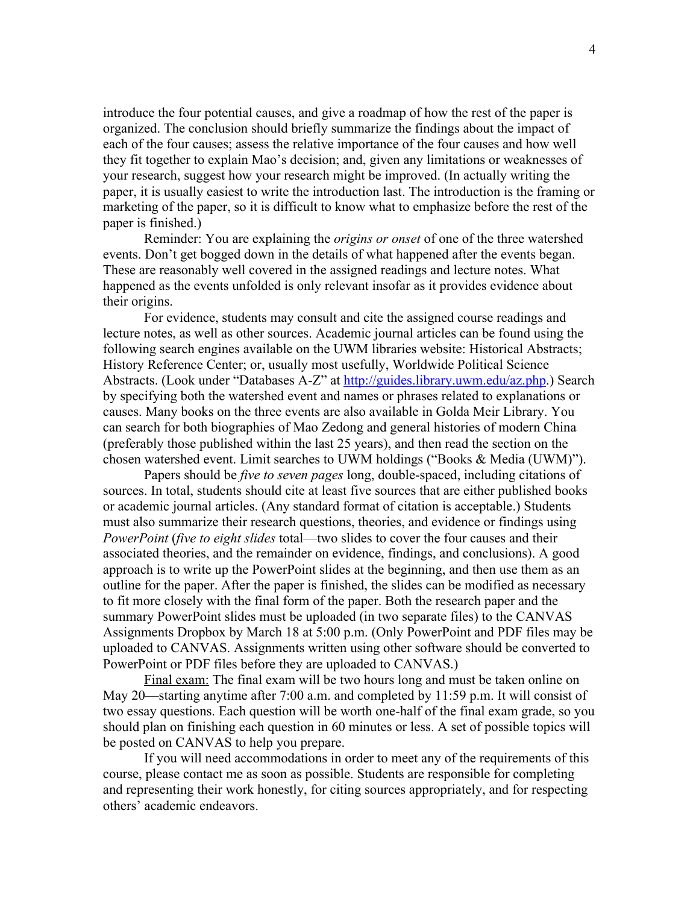introduce the four potential causes, and give a roadmap of how the rest of the paper is organized. The conclusion should briefly summarize the findings about the impact of each of the four causes; assess the relative importance of the four causes and how well they fit together to explain Mao's decision; and, given any limitations or weaknesses of your research, suggest how your research might be improved. (In actually writing the paper, it is usually easiest to write the introduction last. The introduction is the framing or marketing of the paper, so it is difficult to know what to emphasize before the rest of the paper is finished.)

Reminder: You are explaining the *origins or onset* of one of the three watershed events. Don't get bogged down in the details of what happened after the events began. These are reasonably well covered in the assigned readings and lecture notes. What happened as the events unfolded is only relevant insofar as it provides evidence about their origins.

For evidence, students may consult and cite the assigned course readings and lecture notes, as well as other sources. Academic journal articles can be found using the following search engines available on the UWM libraries website: Historical Abstracts; History Reference Center; or, usually most usefully, Worldwide Political Science Abstracts. (Look under "Databases A-Z" at http://guides.library.uwm.edu/az.php.) Search by specifying both the watershed event and names or phrases related to explanations or causes. Many books on the three events are also available in Golda Meir Library. You can search for both biographies of Mao Zedong and general histories of modern China (preferably those published within the last 25 years), and then read the section on the chosen watershed event. Limit searches to UWM holdings ("Books & Media (UWM)").

Papers should be *five to seven pages* long, double-spaced, including citations of sources. In total, students should cite at least five sources that are either published books or academic journal articles. (Any standard format of citation is acceptable.) Students must also summarize their research questions, theories, and evidence or findings using *PowerPoint* (*five to eight slides* total—two slides to cover the four causes and their associated theories, and the remainder on evidence, findings, and conclusions). A good approach is to write up the PowerPoint slides at the beginning, and then use them as an outline for the paper. After the paper is finished, the slides can be modified as necessary to fit more closely with the final form of the paper. Both the research paper and the summary PowerPoint slides must be uploaded (in two separate files) to the CANVAS Assignments Dropbox by March 18 at 5:00 p.m. (Only PowerPoint and PDF files may be uploaded to CANVAS. Assignments written using other software should be converted to PowerPoint or PDF files before they are uploaded to CANVAS.)

Final exam: The final exam will be two hours long and must be taken online on May 20—starting anytime after 7:00 a.m. and completed by 11:59 p.m. It will consist of two essay questions. Each question will be worth one-half of the final exam grade, so you should plan on finishing each question in 60 minutes or less. A set of possible topics will be posted on CANVAS to help you prepare.

If you will need accommodations in order to meet any of the requirements of this course, please contact me as soon as possible. Students are responsible for completing and representing their work honestly, for citing sources appropriately, and for respecting others' academic endeavors.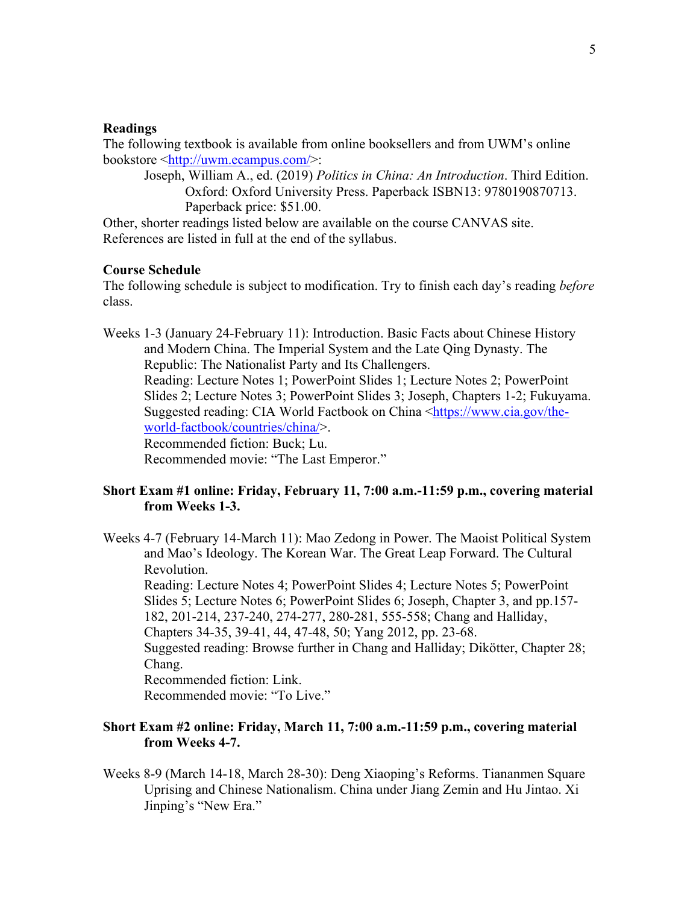#### **Readings**

The following textbook is available from online booksellers and from UWM's online bookstore <http://uwm.ecampus.com/>:

Joseph, William A., ed. (2019) *Politics in China: An Introduction*. Third Edition. Oxford: Oxford University Press. Paperback ISBN13: 9780190870713. Paperback price: \$51.00.

Other, shorter readings listed below are available on the course CANVAS site. References are listed in full at the end of the syllabus.

#### **Course Schedule**

The following schedule is subject to modification. Try to finish each day's reading *before* class.

Weeks 1-3 (January 24-February 11): Introduction. Basic Facts about Chinese History and Modern China. The Imperial System and the Late Qing Dynasty. The Republic: The Nationalist Party and Its Challengers. Reading: Lecture Notes 1; PowerPoint Slides 1; Lecture Notes 2; PowerPoint Slides 2; Lecture Notes 3; PowerPoint Slides 3; Joseph, Chapters 1-2; Fukuyama. Suggested reading: CIA World Factbook on China <https://www.cia.gov/theworld-factbook/countries/china/>. Recommended fiction: Buck; Lu. Recommended movie: "The Last Emperor."

### **Short Exam #1 online: Friday, February 11, 7:00 a.m.-11:59 p.m., covering material from Weeks 1-3.**

Weeks 4-7 (February 14-March 11): Mao Zedong in Power. The Maoist Political System and Mao's Ideology. The Korean War. The Great Leap Forward. The Cultural Revolution.

Reading: Lecture Notes 4; PowerPoint Slides 4; Lecture Notes 5; PowerPoint Slides 5; Lecture Notes 6; PowerPoint Slides 6; Joseph, Chapter 3, and pp.157- 182, 201-214, 237-240, 274-277, 280-281, 555-558; Chang and Halliday, Chapters 34-35, 39-41, 44, 47-48, 50; Yang 2012, pp. 23-68.

Suggested reading: Browse further in Chang and Halliday; Dikötter, Chapter 28; Chang.

Recommended fiction: Link.

Recommended movie: "To Live."

#### **Short Exam #2 online: Friday, March 11, 7:00 a.m.-11:59 p.m., covering material from Weeks 4-7.**

Weeks 8-9 (March 14-18, March 28-30): Deng Xiaoping's Reforms. Tiananmen Square Uprising and Chinese Nationalism. China under Jiang Zemin and Hu Jintao. Xi Jinping's "New Era."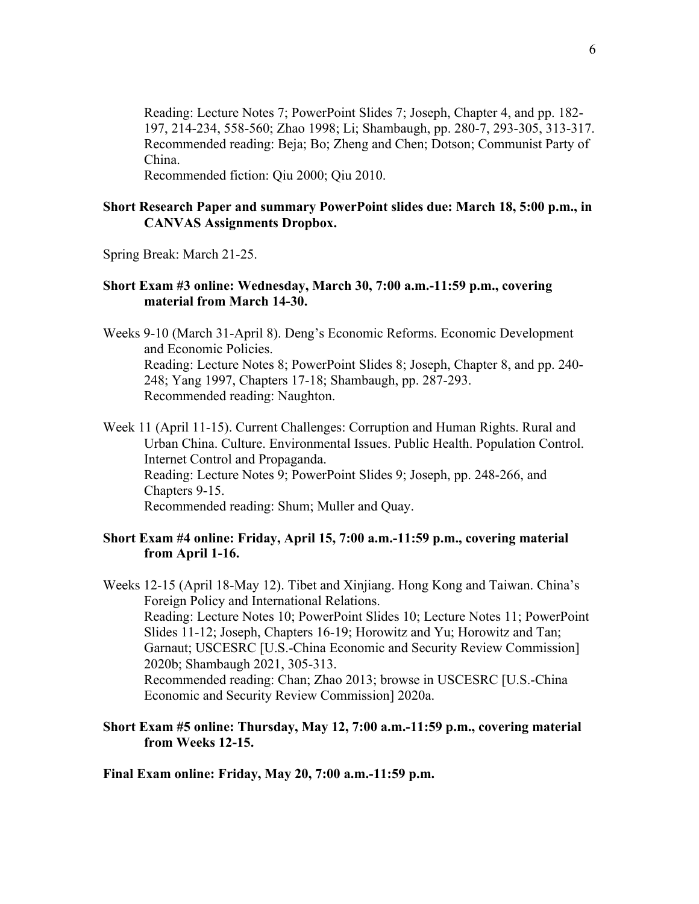Reading: Lecture Notes 7; PowerPoint Slides 7; Joseph, Chapter 4, and pp. 182- 197, 214-234, 558-560; Zhao 1998; Li; Shambaugh, pp. 280-7, 293-305, 313-317. Recommended reading: Beja; Bo; Zheng and Chen; Dotson; Communist Party of China.

Recommended fiction: Qiu 2000; Qiu 2010.

### **Short Research Paper and summary PowerPoint slides due: March 18, 5:00 p.m., in CANVAS Assignments Dropbox.**

Spring Break: March 21-25.

#### **Short Exam #3 online: Wednesday, March 30, 7:00 a.m.-11:59 p.m., covering material from March 14-30.**

Weeks 9-10 (March 31-April 8). Deng's Economic Reforms. Economic Development and Economic Policies. Reading: Lecture Notes 8; PowerPoint Slides 8; Joseph, Chapter 8, and pp. 240- 248; Yang 1997, Chapters 17-18; Shambaugh, pp. 287-293. Recommended reading: Naughton.

Week 11 (April 11-15). Current Challenges: Corruption and Human Rights. Rural and Urban China. Culture. Environmental Issues. Public Health. Population Control. Internet Control and Propaganda. Reading: Lecture Notes 9; PowerPoint Slides 9; Joseph, pp. 248-266, and Chapters 9-15. Recommended reading: Shum; Muller and Quay.

#### **Short Exam #4 online: Friday, April 15, 7:00 a.m.-11:59 p.m., covering material from April 1-16.**

Weeks 12-15 (April 18-May 12). Tibet and Xinjiang. Hong Kong and Taiwan. China's Foreign Policy and International Relations. Reading: Lecture Notes 10; PowerPoint Slides 10; Lecture Notes 11; PowerPoint Slides 11-12; Joseph, Chapters 16-19; Horowitz and Yu; Horowitz and Tan; Garnaut; USCESRC [U.S.-China Economic and Security Review Commission] 2020b; Shambaugh 2021, 305-313. Recommended reading: Chan; Zhao 2013; browse in USCESRC [U.S.-China Economic and Security Review Commission] 2020a.

### **Short Exam #5 online: Thursday, May 12, 7:00 a.m.-11:59 p.m., covering material from Weeks 12-15.**

#### **Final Exam online: Friday, May 20, 7:00 a.m.-11:59 p.m.**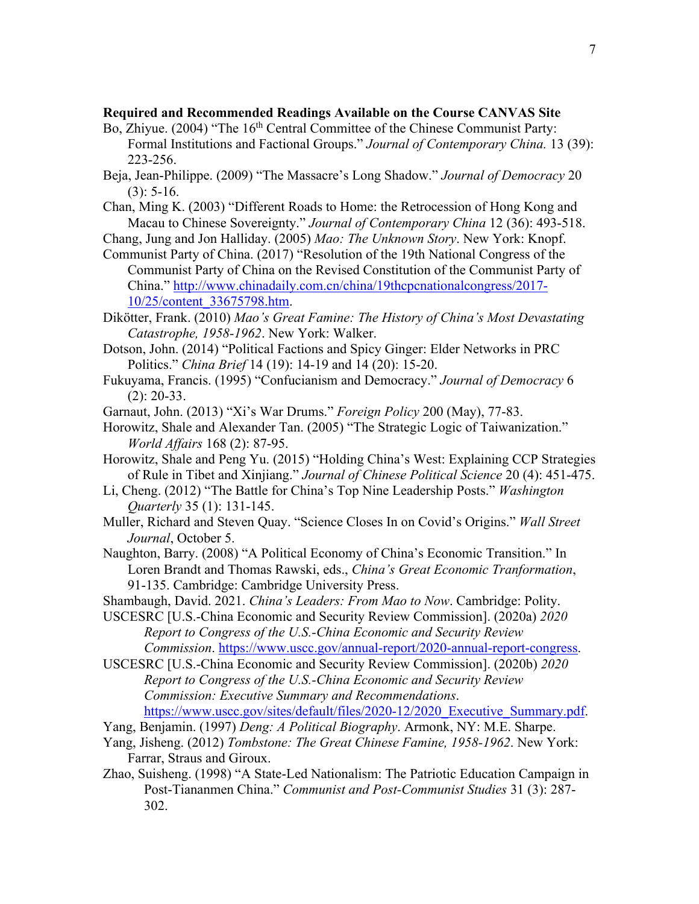### **Required and Recommended Readings Available on the Course CANVAS Site**

- Bo, Zhiyue. (2004) "The 16<sup>th</sup> Central Committee of the Chinese Communist Party: Formal Institutions and Factional Groups." *Journal of Contemporary China.* 13 (39): 223-256.
- Beja, Jean-Philippe. (2009) "The Massacre's Long Shadow." *Journal of Democracy* 20  $(3): 5-16.$
- Chan, Ming K. (2003) "Different Roads to Home: the Retrocession of Hong Kong and Macau to Chinese Sovereignty." *Journal of Contemporary China* 12 (36): 493-518.
- Chang, Jung and Jon Halliday. (2005) *Mao: The Unknown Story*. New York: Knopf.
- Communist Party of China. (2017) "Resolution of the 19th National Congress of the Communist Party of China on the Revised Constitution of the Communist Party of China." http://www.chinadaily.com.cn/china/19thcpcnationalcongress/2017- 10/25/content\_33675798.htm.
- Dikötter, Frank. (2010) *Mao's Great Famine: The History of China's Most Devastating Catastrophe, 1958-1962*. New York: Walker.
- Dotson, John. (2014) "Political Factions and Spicy Ginger: Elder Networks in PRC Politics." *China Brief* 14 (19): 14-19 and 14 (20): 15-20.
- Fukuyama, Francis. (1995) "Confucianism and Democracy." *Journal of Democracy* 6 (2): 20-33.
- Garnaut, John. (2013) "Xi's War Drums." *Foreign Policy* 200 (May), 77-83.
- Horowitz, Shale and Alexander Tan. (2005) "The Strategic Logic of Taiwanization." *World Affairs* 168 (2): 87-95.
- Horowitz, Shale and Peng Yu. (2015) "Holding China's West: Explaining CCP Strategies of Rule in Tibet and Xinjiang." *Journal of Chinese Political Science* 20 (4): 451-475.
- Li, Cheng. (2012) "The Battle for China's Top Nine Leadership Posts." *Washington Quarterly* 35 (1): 131-145.
- Muller, Richard and Steven Quay. "Science Closes In on Covid's Origins." *Wall Street Journal*, October 5.
- Naughton, Barry. (2008) "A Political Economy of China's Economic Transition." In Loren Brandt and Thomas Rawski, eds., *China's Great Economic Tranformation*, 91-135. Cambridge: Cambridge University Press.
- Shambaugh, David. 2021. *China's Leaders: From Mao to Now*. Cambridge: Polity.
- USCESRC [U.S.-China Economic and Security Review Commission]. (2020a) *2020 Report to Congress of the U.S.-China Economic and Security Review Commission*. https://www.uscc.gov/annual-report/2020-annual-report-congress.
- USCESRC [U.S.-China Economic and Security Review Commission]. (2020b) *2020 Report to Congress of the U.S.-China Economic and Security Review Commission: Executive Summary and Recommendations*. https://www.uscc.gov/sites/default/files/2020-12/2020\_Executive\_Summary.pdf.
- Yang, Benjamin. (1997) *Deng: A Political Biography*. Armonk, NY: M.E. Sharpe.
- Yang, Jisheng. (2012) *Tombstone: The Great Chinese Famine, 1958-1962*. New York: Farrar, Straus and Giroux.
- Zhao, Suisheng. (1998) "A State-Led Nationalism: The Patriotic Education Campaign in Post-Tiananmen China." *Communist and Post-Communist Studies* 31 (3): 287- 302.